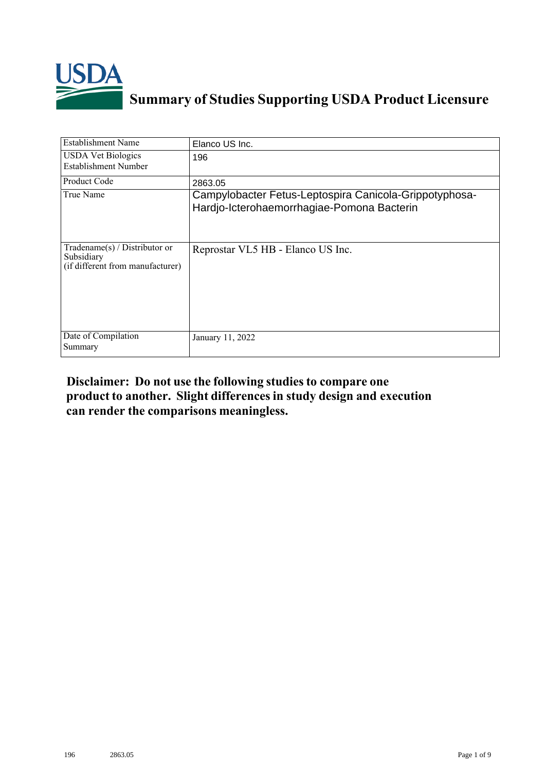

## **Summary of Studies Supporting USDA Product Licensure**

| <b>Establishment Name</b>                                                         | Elanco US Inc.                                                                                       |
|-----------------------------------------------------------------------------------|------------------------------------------------------------------------------------------------------|
| <b>USDA Vet Biologics</b><br>Establishment Number                                 | 196                                                                                                  |
| <b>Product Code</b>                                                               | 2863.05                                                                                              |
| True Name                                                                         | Campylobacter Fetus-Leptospira Canicola-Grippotyphosa-<br>Hardjo-Icterohaemorrhagiae-Pomona Bacterin |
| $Tradename(s) / Distributor$ or<br>Subsidiary<br>(if different from manufacturer) | Reprostar VL5 HB - Elanco US Inc.                                                                    |
| Date of Compilation<br>Summary                                                    | January 11, 2022                                                                                     |

## **Disclaimer: Do not use the following studiesto compare one product to another. Slight differencesin study design and execution can render the comparisons meaningless.**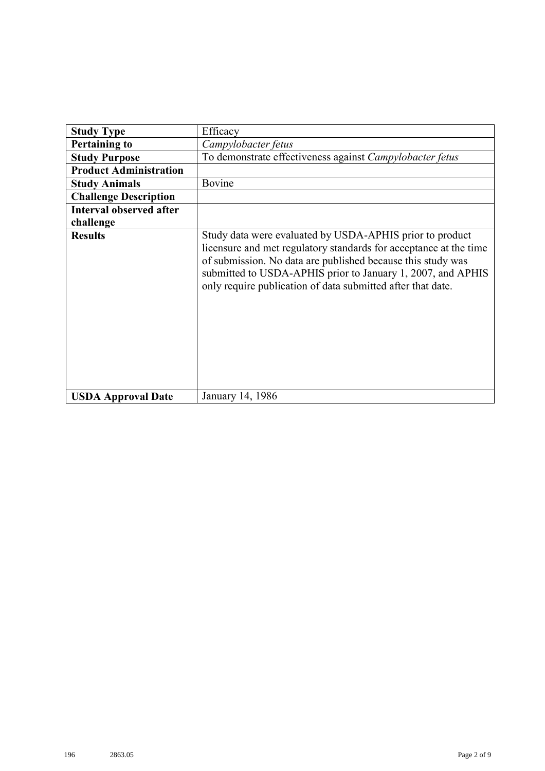| <b>Study Type</b>              | Efficacy                                                                                                                                                                                                                                                                                                                   |
|--------------------------------|----------------------------------------------------------------------------------------------------------------------------------------------------------------------------------------------------------------------------------------------------------------------------------------------------------------------------|
| <b>Pertaining to</b>           | Campylobacter fetus                                                                                                                                                                                                                                                                                                        |
| <b>Study Purpose</b>           | To demonstrate effectiveness against Campylobacter fetus                                                                                                                                                                                                                                                                   |
| <b>Product Administration</b>  |                                                                                                                                                                                                                                                                                                                            |
| <b>Study Animals</b>           | Bovine                                                                                                                                                                                                                                                                                                                     |
| <b>Challenge Description</b>   |                                                                                                                                                                                                                                                                                                                            |
| <b>Interval observed after</b> |                                                                                                                                                                                                                                                                                                                            |
| challenge                      |                                                                                                                                                                                                                                                                                                                            |
| <b>Results</b>                 | Study data were evaluated by USDA-APHIS prior to product<br>licensure and met regulatory standards for acceptance at the time<br>of submission. No data are published because this study was<br>submitted to USDA-APHIS prior to January 1, 2007, and APHIS<br>only require publication of data submitted after that date. |
| <b>USDA Approval Date</b>      | January 14, 1986                                                                                                                                                                                                                                                                                                           |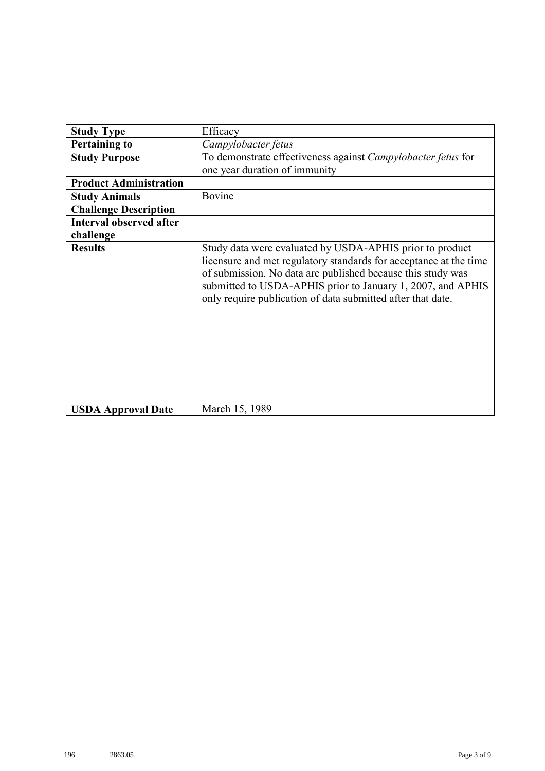| <b>Study Type</b>              | Efficacy                                                                                                                                                                                                                                                                                                                   |
|--------------------------------|----------------------------------------------------------------------------------------------------------------------------------------------------------------------------------------------------------------------------------------------------------------------------------------------------------------------------|
| <b>Pertaining to</b>           | Campylobacter fetus                                                                                                                                                                                                                                                                                                        |
| <b>Study Purpose</b>           | To demonstrate effectiveness against Campylobacter fetus for<br>one year duration of immunity                                                                                                                                                                                                                              |
| <b>Product Administration</b>  |                                                                                                                                                                                                                                                                                                                            |
| <b>Study Animals</b>           | Bovine                                                                                                                                                                                                                                                                                                                     |
| <b>Challenge Description</b>   |                                                                                                                                                                                                                                                                                                                            |
| <b>Interval observed after</b> |                                                                                                                                                                                                                                                                                                                            |
| challenge                      |                                                                                                                                                                                                                                                                                                                            |
| <b>Results</b>                 | Study data were evaluated by USDA-APHIS prior to product<br>licensure and met regulatory standards for acceptance at the time<br>of submission. No data are published because this study was<br>submitted to USDA-APHIS prior to January 1, 2007, and APHIS<br>only require publication of data submitted after that date. |
| <b>USDA Approval Date</b>      | March 15, 1989                                                                                                                                                                                                                                                                                                             |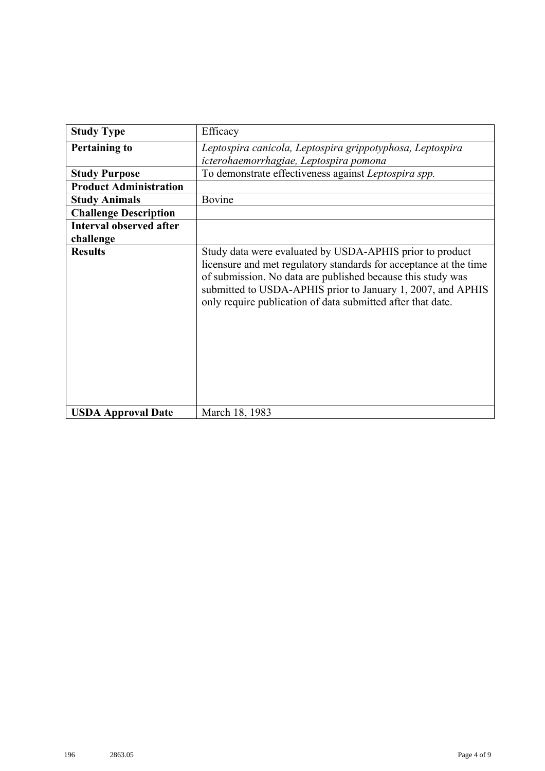| <b>Study Type</b>                           | Efficacy                                                                                                                                                                                                                                                                                                                   |
|---------------------------------------------|----------------------------------------------------------------------------------------------------------------------------------------------------------------------------------------------------------------------------------------------------------------------------------------------------------------------------|
| <b>Pertaining to</b>                        | Leptospira canicola, Leptospira grippotyphosa, Leptospira<br>icterohaemorrhagiae, Leptospira pomona                                                                                                                                                                                                                        |
| <b>Study Purpose</b>                        | To demonstrate effectiveness against Leptospira spp.                                                                                                                                                                                                                                                                       |
| <b>Product Administration</b>               |                                                                                                                                                                                                                                                                                                                            |
| <b>Study Animals</b>                        | Bovine                                                                                                                                                                                                                                                                                                                     |
| <b>Challenge Description</b>                |                                                                                                                                                                                                                                                                                                                            |
| <b>Interval observed after</b><br>challenge |                                                                                                                                                                                                                                                                                                                            |
| <b>Results</b>                              | Study data were evaluated by USDA-APHIS prior to product<br>licensure and met regulatory standards for acceptance at the time<br>of submission. No data are published because this study was<br>submitted to USDA-APHIS prior to January 1, 2007, and APHIS<br>only require publication of data submitted after that date. |
| <b>USDA Approval Date</b>                   | March 18, 1983                                                                                                                                                                                                                                                                                                             |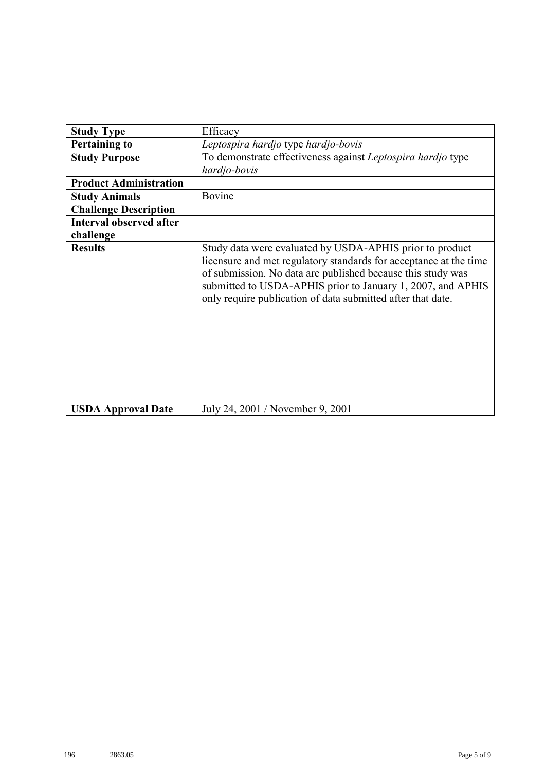| <b>Study Type</b>              | Efficacy                                                                                                                                                                                                                                                                                                                   |
|--------------------------------|----------------------------------------------------------------------------------------------------------------------------------------------------------------------------------------------------------------------------------------------------------------------------------------------------------------------------|
| <b>Pertaining to</b>           | Leptospira hardjo type hardjo-bovis                                                                                                                                                                                                                                                                                        |
| <b>Study Purpose</b>           | To demonstrate effectiveness against Leptospira hardjo type<br>hardjo-bovis                                                                                                                                                                                                                                                |
| <b>Product Administration</b>  |                                                                                                                                                                                                                                                                                                                            |
| <b>Study Animals</b>           | Bovine                                                                                                                                                                                                                                                                                                                     |
| <b>Challenge Description</b>   |                                                                                                                                                                                                                                                                                                                            |
| <b>Interval observed after</b> |                                                                                                                                                                                                                                                                                                                            |
| challenge                      |                                                                                                                                                                                                                                                                                                                            |
| <b>Results</b>                 | Study data were evaluated by USDA-APHIS prior to product<br>licensure and met regulatory standards for acceptance at the time<br>of submission. No data are published because this study was<br>submitted to USDA-APHIS prior to January 1, 2007, and APHIS<br>only require publication of data submitted after that date. |
| <b>USDA Approval Date</b>      | July 24, 2001 / November 9, 2001                                                                                                                                                                                                                                                                                           |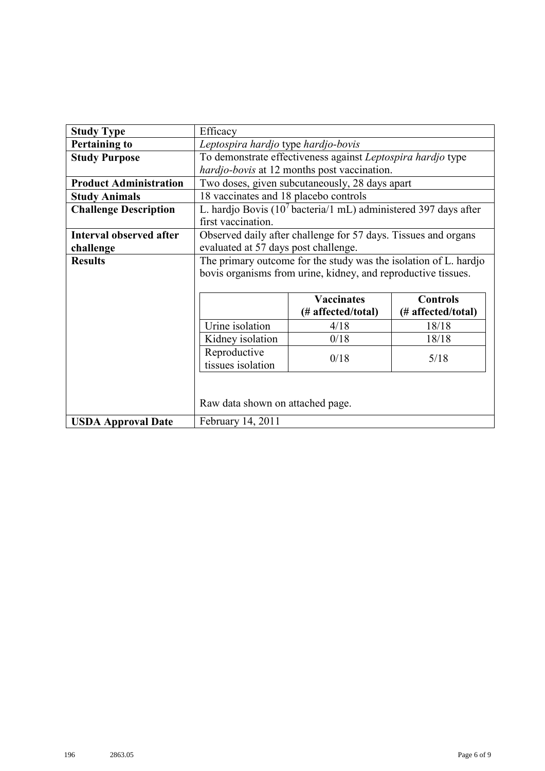| <b>Study Type</b>              | Efficacy                              |                                                                             |                    |  |  |  |  |
|--------------------------------|---------------------------------------|-----------------------------------------------------------------------------|--------------------|--|--|--|--|
| <b>Pertaining to</b>           | Leptospira hardjo type hardjo-bovis   |                                                                             |                    |  |  |  |  |
| <b>Study Purpose</b>           |                                       | To demonstrate effectiveness against Leptospira hardjo type                 |                    |  |  |  |  |
|                                |                                       | hardjo-bovis at 12 months post vaccination.                                 |                    |  |  |  |  |
| <b>Product Administration</b>  |                                       | Two doses, given subcutaneously, 28 days apart                              |                    |  |  |  |  |
| <b>Study Animals</b>           | 18 vaccinates and 18 placebo controls |                                                                             |                    |  |  |  |  |
| <b>Challenge Description</b>   |                                       | L. hardjo Bovis (10 <sup>7</sup> bacteria/1 mL) administered 397 days after |                    |  |  |  |  |
|                                | first vaccination.                    |                                                                             |                    |  |  |  |  |
| <b>Interval observed after</b> |                                       | Observed daily after challenge for 57 days. Tissues and organs              |                    |  |  |  |  |
| challenge                      | evaluated at 57 days post challenge.  |                                                                             |                    |  |  |  |  |
| <b>Results</b>                 |                                       | The primary outcome for the study was the isolation of L. hardjo            |                    |  |  |  |  |
|                                |                                       | bovis organisms from urine, kidney, and reproductive tissues.               |                    |  |  |  |  |
|                                |                                       |                                                                             |                    |  |  |  |  |
|                                | <b>Vaccinates</b><br><b>Controls</b>  |                                                                             |                    |  |  |  |  |
|                                |                                       | (# affected/total)                                                          | (# affected/total) |  |  |  |  |
|                                | Urine isolation                       | 4/18                                                                        | 18/18              |  |  |  |  |
|                                | Kidney isolation                      | 0/18                                                                        | 18/18              |  |  |  |  |
|                                | Reproductive                          |                                                                             |                    |  |  |  |  |
|                                | 0/18<br>5/18<br>tissues isolation     |                                                                             |                    |  |  |  |  |
|                                |                                       |                                                                             |                    |  |  |  |  |
|                                |                                       |                                                                             |                    |  |  |  |  |
|                                | Raw data shown on attached page.      |                                                                             |                    |  |  |  |  |
| <b>USDA Approval Date</b>      | February 14, 2011                     |                                                                             |                    |  |  |  |  |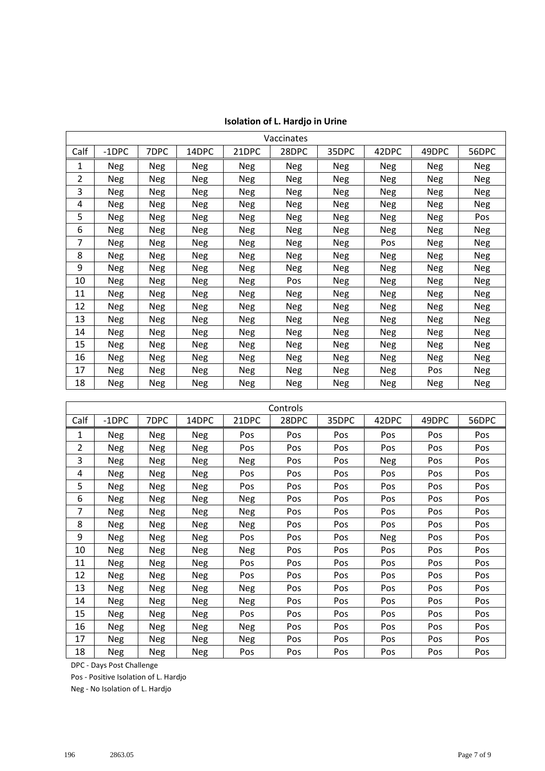|      | Vaccinates |            |            |            |            |            |            |            |            |
|------|------------|------------|------------|------------|------------|------------|------------|------------|------------|
| Calf | $-1$ DPC   | 7DPC       | 14DPC      | 21DPC      | 28DPC      | 35DPC      | 42DPC      | 49DPC      | 56DPC      |
| 1    | <b>Neg</b> | Neg        | <b>Neg</b> | Neg        | Neg        | Neg        | <b>Neg</b> | <b>Neg</b> | Neg        |
| 2    | <b>Neg</b> | Neg        | Neg        | Neg        | <b>Neg</b> | <b>Neg</b> | Neg        | <b>Neg</b> | <b>Neg</b> |
| 3    | <b>Neg</b> | <b>Neg</b> | <b>Neg</b> | <b>Neg</b> | <b>Neg</b> | Neg        | <b>Neg</b> | Neg        | Neg        |
| 4    | <b>Neg</b> | <b>Neg</b> | <b>Neg</b> | <b>Neg</b> | <b>Neg</b> | <b>Neg</b> | <b>Neg</b> | <b>Neg</b> | <b>Neg</b> |
| 5    | <b>Neg</b> | Neg        | Neg        | <b>Neg</b> | <b>Neg</b> | Neg        | Neg        | <b>Neg</b> | Pos        |
| 6    | <b>Neg</b> | Neg        | <b>Neg</b> | Neg        | <b>Neg</b> | <b>Neg</b> | <b>Neg</b> | Neg        | Neg        |
| 7    | Neg        | <b>Neg</b> | <b>Neg</b> | <b>Neg</b> | Neg        | Neg        | Pos        | Neg        | <b>Neg</b> |
| 8    | Neg        | <b>Neg</b> | Neg        | <b>Neg</b> | <b>Neg</b> | <b>Neg</b> | <b>Neg</b> | Neg        | <b>Neg</b> |
| 9    | <b>Neg</b> | <b>Neg</b> | <b>Neg</b> | <b>Neg</b> | <b>Neg</b> | <b>Neg</b> | <b>Neg</b> | Neg        | <b>Neg</b> |
| 10   | <b>Neg</b> | Neg        | <b>Neg</b> | <b>Neg</b> | Pos        | Neg        | <b>Neg</b> | <b>Neg</b> | <b>Neg</b> |
| 11   | <b>Neg</b> | Neg        | Neg        | <b>Neg</b> | <b>Neg</b> | Neg        | Neg        | Neg        | <b>Neg</b> |
| 12   | <b>Neg</b> | Neg        | <b>Neg</b> | Neg        | <b>Neg</b> | Neg        | Neg        | Neg        | Neg        |
| 13   | Neg        | Neg        | <b>Neg</b> | <b>Neg</b> | Neg        | Neg        | Neg        | Neg        | <b>Neg</b> |
| 14   | Neg        | Neg        | Neg        | Neg        | Neg        | Neg        | Neg        | Neg        | Neg        |
| 15   | <b>Neg</b> | <b>Neg</b> | Neg        | Neg        | Neg        | <b>Neg</b> | Neg        | Neg        | <b>Neg</b> |
| 16   | <b>Neg</b> | <b>Neg</b> | <b>Neg</b> | Neg        | <b>Neg</b> | <b>Neg</b> | <b>Neg</b> | Neg        | <b>Neg</b> |
| 17   | <b>Neg</b> | Neg        | <b>Neg</b> | <b>Neg</b> | <b>Neg</b> | <b>Neg</b> | Neg        | Pos        | <b>Neg</b> |
| 18   | Neg        | Neg        | Neg        | <b>Neg</b> | Neg        | Neg        | Neg        | Neg        | Neg        |

| <b>Isolation of L. Hardjo in Urine</b> |  |  |  |  |
|----------------------------------------|--|--|--|--|
|----------------------------------------|--|--|--|--|

|                | Controls   |            |            |            |       |       |       |            |            |
|----------------|------------|------------|------------|------------|-------|-------|-------|------------|------------|
| Calf           | $-1$ DPC   | 7DPC       | 14DPC      | 21DPC      | 28DPC | 35DPC | 42DPC | 49DPC      | 56DPC      |
| 1              | Neg        | <b>Neg</b> | <b>Neg</b> | Pos        | Pos   | Pos   | Pos   | Pos        | Pos        |
| $\overline{2}$ | <b>Neg</b> | <b>Neg</b> | <b>Neg</b> | Pos        | Pos   | Pos   | Pos   | Pos        | Pos        |
| 3              | <b>Neg</b> | <b>Neg</b> | <b>Neg</b> | Neg        | Pos   | Pos   | Neg   | Pos        | Pos        |
| 4              | Neg        | <b>Neg</b> | Neg        | Pos        | Pos   | Pos   | Pos   | Pos        | Pos        |
| 5              | Neg        | <b>Neg</b> | <b>Neg</b> | Pos        | Pos   | Pos   | Pos   | Pos        | Pos        |
| 6              | Neg        | Neg        | Neg        | Neg        | Pos   | Pos   | Pos   | <b>Pos</b> | Pos        |
| 7              | <b>Neg</b> | <b>Neg</b> | Neg        | <b>Neg</b> | Pos   | Pos   | Pos   | Pos        | Pos        |
| 8              | <b>Neg</b> | <b>Neg</b> | <b>Neg</b> | <b>Neg</b> | Pos   | Pos   | Pos   | Pos        | Pos        |
| 9              | <b>Neg</b> | <b>Neg</b> | <b>Neg</b> | Pos        | Pos   | Pos   | Neg   | <b>Pos</b> | Pos        |
| 10             | Neg        | <b>Neg</b> | <b>Neg</b> | <b>Neg</b> | Pos   | Pos   | Pos   | Pos        | Pos        |
| 11             | <b>Neg</b> | <b>Neg</b> | <b>Neg</b> | Pos        | Pos   | Pos   | Pos   | Pos        | <b>Pos</b> |
| 12             | <b>Neg</b> | <b>Neg</b> | <b>Neg</b> | Pos        | Pos   | Pos   | Pos   | Pos        | Pos        |
| 13             | <b>Neg</b> | <b>Neg</b> | Neg        | Neg        | Pos   | Pos   | Pos   | Pos        | Pos        |
| 14             | <b>Neg</b> | <b>Neg</b> | <b>Neg</b> | Neg        | Pos   | Pos   | Pos   | Pos        | <b>Pos</b> |
| 15             | <b>Neg</b> | <b>Neg</b> | Neg        | Pos        | Pos   | Pos   | Pos   | Pos        | Pos        |
| 16             | <b>Neg</b> | Neg        | <b>Neg</b> | <b>Neg</b> | Pos   | Pos   | Pos   | Pos        | Pos        |
| 17             | <b>Neg</b> | Neg        | <b>Neg</b> | Neg        | Pos   | Pos   | Pos   | Pos        | Pos        |
| 18             | <b>Neg</b> | <b>Neg</b> | <b>Neg</b> | Pos        | Pos   | Pos   | Pos   | Pos        | Pos        |

DPC - Days Post Challenge

Pos - Positive Isolation of L. Hardjo

Neg - No Isolation of L. Hardjo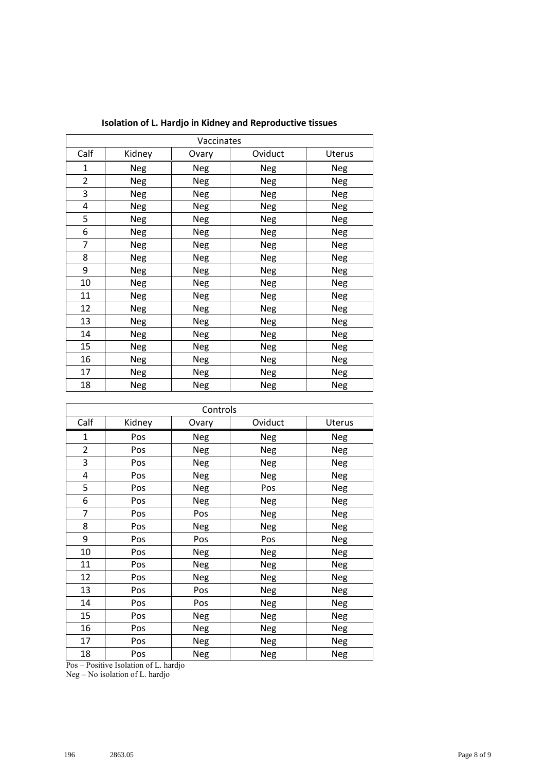|                | Vaccinates |       |         |            |  |  |  |  |
|----------------|------------|-------|---------|------------|--|--|--|--|
| Calf           | Kidney     | Ovary | Oviduct | Uterus     |  |  |  |  |
| 1              | Neg        | Neg   | Neg     | Neg        |  |  |  |  |
| $\overline{2}$ | Neg        | Neg   | Neg     | Neg        |  |  |  |  |
| 3              | Neg        | Neg   | Neg     | Neg        |  |  |  |  |
| 4              | Neg        | Neg   | Neg     | Neg        |  |  |  |  |
| 5              | Neg        | Neg   | Neg     | Neg        |  |  |  |  |
| 6              | Neg        | Neg   | Neg     | Neg        |  |  |  |  |
| 7              | Neg        | Neg   | Neg     | Neg        |  |  |  |  |
| 8              | Neg        | Neg   | Neg     | Neg        |  |  |  |  |
| 9              | Neg        | Neg   | Neg     | Neg        |  |  |  |  |
| 10             | Neg        | Neg   | Neg     | <b>Neg</b> |  |  |  |  |
| 11             | Neg        | Neg   | Neg     | Neg        |  |  |  |  |
| 12             | Neg        | Neg   | Neg     | Neg        |  |  |  |  |
| 13             | Neg        | Neg   | Neg     | Neg        |  |  |  |  |
| 14             | Neg        | Neg   | Neg     | Neg        |  |  |  |  |
| 15             | Neg        | Neg   | Neg     | Neg        |  |  |  |  |
| 16             | Neg        | Neg   | Neg     | Neg        |  |  |  |  |
| 17             | Neg        | Neg   | Neg     | Neg        |  |  |  |  |
| 18             | Neg        | Neg   | Neg     | Neg        |  |  |  |  |

|                | Controls |            |            |            |  |  |  |  |
|----------------|----------|------------|------------|------------|--|--|--|--|
| Calf           | Kidney   | Ovary      | Oviduct    | Uterus     |  |  |  |  |
| $\mathbf{1}$   | Pos      | <b>Neg</b> | Neg        | <b>Neg</b> |  |  |  |  |
| $\overline{2}$ | Pos      | Neg        | Neg        | Neg        |  |  |  |  |
| 3              | Pos      | <b>Neg</b> | <b>Neg</b> | <b>Neg</b> |  |  |  |  |
| 4              | Pos      | <b>Neg</b> | Neg        | <b>Neg</b> |  |  |  |  |
| 5              | Pos      | Neg        | Pos        | <b>Neg</b> |  |  |  |  |
| 6              | Pos      | Neg        | <b>Neg</b> | <b>Neg</b> |  |  |  |  |
| 7              | Pos      | Pos        | <b>Neg</b> | <b>Neg</b> |  |  |  |  |
| 8              | Pos      | <b>Neg</b> | Neg        | <b>Neg</b> |  |  |  |  |
| 9              | Pos      | Pos        | Pos        | <b>Neg</b> |  |  |  |  |
| 10             | Pos      | <b>Neg</b> | <b>Neg</b> | <b>Neg</b> |  |  |  |  |
| 11             | Pos      | <b>Neg</b> | Neg        | <b>Neg</b> |  |  |  |  |
| 12             | Pos      | <b>Neg</b> | Neg        | <b>Neg</b> |  |  |  |  |
| 13             | Pos      | Pos        | Neg        | <b>Neg</b> |  |  |  |  |
| 14             | Pos      | Pos        | <b>Neg</b> | <b>Neg</b> |  |  |  |  |
| 15             | Pos      | Neg        | Neg        | Neg        |  |  |  |  |
| 16             | Pos      | <b>Neg</b> | Neg        | <b>Neg</b> |  |  |  |  |
| 17             | Pos      | <b>Neg</b> | Neg        | <b>Neg</b> |  |  |  |  |
| 18             | Pos      | Neg        | <b>Neg</b> | <b>Neg</b> |  |  |  |  |

Pos – Positive Isolation of L. hardjo

Neg – No isolation of L. hardjo